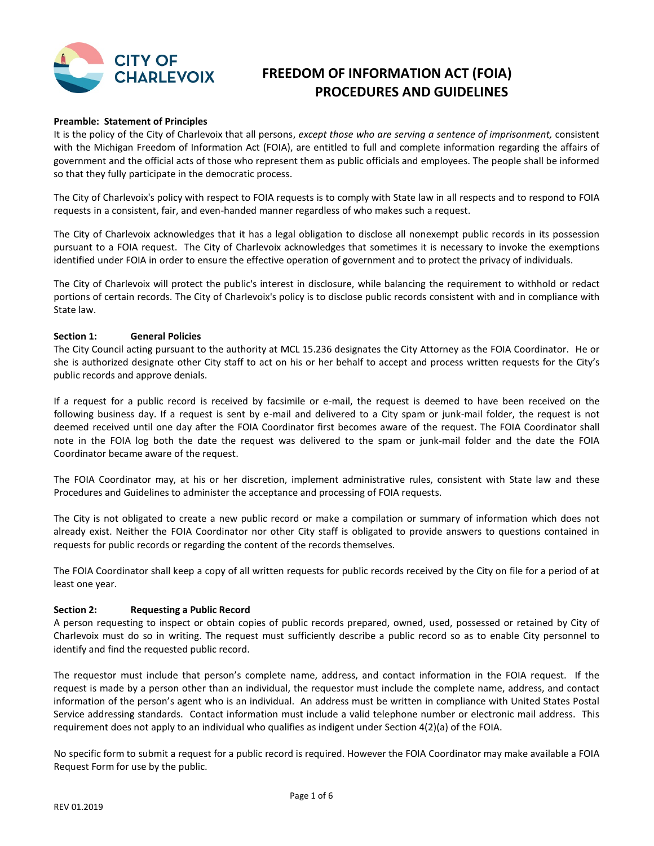

# **FREEDOM OF INFORMATION ACT (FOIA) PROCEDURES AND GUIDELINES**

#### **Preamble: Statement of Principles**

It is the policy of the City of Charlevoix that all persons, *except those who are serving a sentence of imprisonment,* consistent with the Michigan Freedom of Information Act (FOIA), are entitled to full and complete information regarding the affairs of government and the official acts of those who represent them as public officials and employees. The people shall be informed so that they fully participate in the democratic process.

The City of Charlevoix's policy with respect to FOIA requests is to comply with State law in all respects and to respond to FOIA requests in a consistent, fair, and even-handed manner regardless of who makes such a request.

The City of Charlevoix acknowledges that it has a legal obligation to disclose all nonexempt public records in its possession pursuant to a FOIA request. The City of Charlevoix acknowledges that sometimes it is necessary to invoke the exemptions identified under FOIA in order to ensure the effective operation of government and to protect the privacy of individuals.

The City of Charlevoix will protect the public's interest in disclosure, while balancing the requirement to withhold or redact portions of certain records. The City of Charlevoix's policy is to disclose public records consistent with and in compliance with State law.

#### **Section 1: General Policies**

The City Council acting pursuant to the authority at MCL 15.236 designates the City Attorney as the FOIA Coordinator. He or she is authorized designate other City staff to act on his or her behalf to accept and process written requests for the City's public records and approve denials.

If a request for a public record is received by facsimile or e-mail, the request is deemed to have been received on the following business day. If a request is sent by e-mail and delivered to a City spam or junk-mail folder, the request is not deemed received until one day after the FOIA Coordinator first becomes aware of the request. The FOIA Coordinator shall note in the FOIA log both the date the request was delivered to the spam or junk-mail folder and the date the FOIA Coordinator became aware of the request.

The FOIA Coordinator may, at his or her discretion, implement administrative rules, consistent with State law and these Procedures and Guidelines to administer the acceptance and processing of FOIA requests.

The City is not obligated to create a new public record or make a compilation or summary of information which does not already exist. Neither the FOIA Coordinator nor other City staff is obligated to provide answers to questions contained in requests for public records or regarding the content of the records themselves.

The FOIA Coordinator shall keep a copy of all written requests for public records received by the City on file for a period of at least one year.

#### **Section 2: Requesting a Public Record**

A person requesting to inspect or obtain copies of public records prepared, owned, used, possessed or retained by City of Charlevoix must do so in writing. The request must sufficiently describe a public record so as to enable City personnel to identify and find the requested public record.

The requestor must include that person's complete name, address, and contact information in the FOIA request. If the request is made by a person other than an individual, the requestor must include the complete name, address, and contact information of the person's agent who is an individual. An address must be written in compliance with United States Postal Service addressing standards. Contact information must include a valid telephone number or electronic mail address. This requirement does not apply to an individual who qualifies as indigent under Section 4(2)(a) of the FOIA.

No specific form to submit a request for a public record is required. However the FOIA Coordinator may make available a FOIA Request Form for use by the public.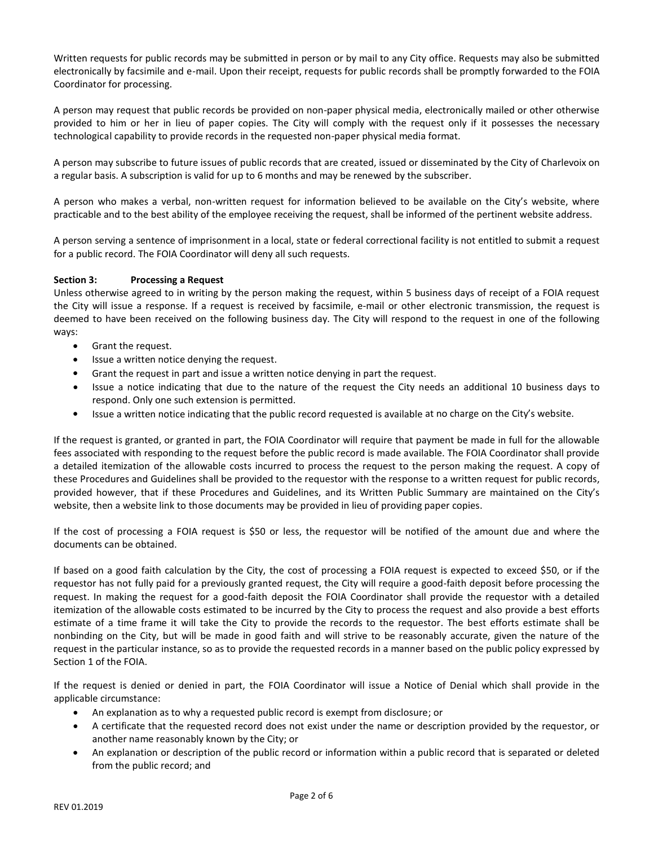Written requests for public records may be submitted in person or by mail to any City office. Requests may also be submitted electronically by facsimile and e-mail. Upon their receipt, requests for public records shall be promptly forwarded to the FOIA Coordinator for processing.

A person may request that public records be provided on non-paper physical media, electronically mailed or other otherwise provided to him or her in lieu of paper copies. The City will comply with the request only if it possesses the necessary technological capability to provide records in the requested non-paper physical media format.

A person may subscribe to future issues of public records that are created, issued or disseminated by the City of Charlevoix on a regular basis. A subscription is valid for up to 6 months and may be renewed by the subscriber.

A person who makes a verbal, non-written request for information believed to be available on the City's website, where practicable and to the best ability of the employee receiving the request, shall be informed of the pertinent website address.

A person serving a sentence of imprisonment in a local, state or federal correctional facility is not entitled to submit a request for a public record. The FOIA Coordinator will deny all such requests.

## **Section 3: Processing a Request**

Unless otherwise agreed to in writing by the person making the request, within 5 business days of receipt of a FOIA request the City will issue a response. If a request is received by facsimile, e-mail or other electronic transmission, the request is deemed to have been received on the following business day. The City will respond to the request in one of the following ways:

- Grant the request.
- Issue a written notice denying the request.
- Grant the request in part and issue a written notice denying in part the request.
- Issue a notice indicating that due to the nature of the request the City needs an additional 10 business days to respond. Only one such extension is permitted.
- Issue a written notice indicating that the public record requested is available at no charge on the City's website.

If the request is granted, or granted in part, the FOIA Coordinator will require that payment be made in full for the allowable fees associated with responding to the request before the public record is made available. The FOIA Coordinator shall provide a detailed itemization of the allowable costs incurred to process the request to the person making the request. A copy of these Procedures and Guidelines shall be provided to the requestor with the response to a written request for public records, provided however, that if these Procedures and Guidelines, and its Written Public Summary are maintained on the City's website, then a website link to those documents may be provided in lieu of providing paper copies.

If the cost of processing a FOIA request is \$50 or less, the requestor will be notified of the amount due and where the documents can be obtained.

If based on a good faith calculation by the City, the cost of processing a FOIA request is expected to exceed \$50, or if the requestor has not fully paid for a previously granted request, the City will require a good-faith deposit before processing the request. In making the request for a good-faith deposit the FOIA Coordinator shall provide the requestor with a detailed itemization of the allowable costs estimated to be incurred by the City to process the request and also provide a best efforts estimate of a time frame it will take the City to provide the records to the requestor. The best efforts estimate shall be nonbinding on the City, but will be made in good faith and will strive to be reasonably accurate, given the nature of the request in the particular instance, so as to provide the requested records in a manner based on the public policy expressed by Section 1 of the FOIA.

If the request is denied or denied in part, the FOIA Coordinator will issue a Notice of Denial which shall provide in the applicable circumstance:

- An explanation as to why a requested public record is exempt from disclosure; or
- A certificate that the requested record does not exist under the name or description provided by the requestor, or another name reasonably known by the City; or
- An explanation or description of the public record or information within a public record that is separated or deleted from the public record; and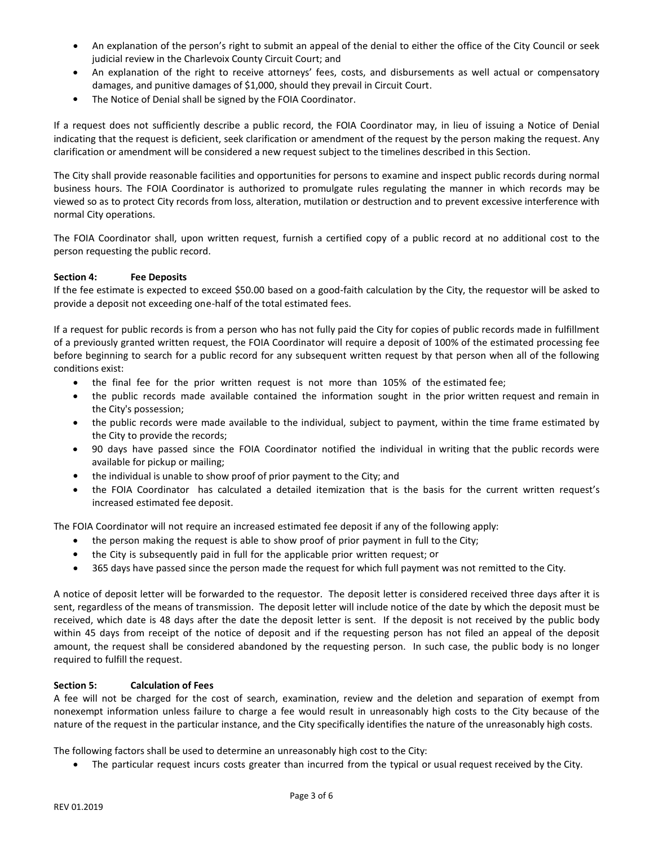- An explanation of the person's right to submit an appeal of the denial to either the office of the City Council or seek judicial review in the Charlevoix County Circuit Court; and
- An explanation of the right to receive attorneys' fees, costs, and disbursements as well actual or compensatory damages, and punitive damages of \$1,000, should they prevail in Circuit Court.
- The Notice of Denial shall be signed by the FOIA Coordinator.

If a request does not sufficiently describe a public record, the FOIA Coordinator may, in lieu of issuing a Notice of Denial indicating that the request is deficient, seek clarification or amendment of the request by the person making the request. Any clarification or amendment will be considered a new request subject to the timelines described in this Section.

The City shall provide reasonable facilities and opportunities for persons to examine and inspect public records during normal business hours. The FOIA Coordinator is authorized to promulgate rules regulating the manner in which records may be viewed so as to protect City records from loss, alteration, mutilation or destruction and to prevent excessive interference with normal City operations.

The FOIA Coordinator shall, upon written request, furnish a certified copy of a public record at no additional cost to the person requesting the public record.

## **Section 4: Fee Deposits**

If the fee estimate is expected to exceed \$50.00 based on a good-faith calculation by the City, the requestor will be asked to provide a deposit not exceeding one-half of the total estimated fees.

If a request for public records is from a person who has not fully paid the City for copies of public records made in fulfillment of a previously granted written request, the FOIA Coordinator will require a deposit of 100% of the estimated processing fee before beginning to search for a public record for any subsequent written request by that person when all of the following conditions exist:

- the final fee for the prior written request is not more than 105% of the estimated fee;
- the public records made available contained the information sought in the prior written request and remain in the City's possession;
- the public records were made available to the individual, subject to payment, within the time frame estimated by the City to provide the records;
- 90 days have passed since the FOIA Coordinator notified the individual in writing that the public records were available for pickup or mailing;
- the individual is unable to show proof of prior payment to the City; and
- the FOIA Coordinator has calculated a detailed itemization that is the basis for the current written request's increased estimated fee deposit.

The FOIA Coordinator will not require an increased estimated fee deposit if any of the following apply:

- the person making the request is able to show proof of prior payment in full to the City;
- the City is subsequently paid in full for the applicable prior written request; or
- 365 days have passed since the person made the request for which full payment was not remitted to the City.

A notice of deposit letter will be forwarded to the requestor. The deposit letter is considered received three days after it is sent, regardless of the means of transmission. The deposit letter will include notice of the date by which the deposit must be received, which date is 48 days after the date the deposit letter is sent. If the deposit is not received by the public body within 45 days from receipt of the notice of deposit and if the requesting person has not filed an appeal of the deposit amount, the request shall be considered abandoned by the requesting person. In such case, the public body is no longer required to fulfill the request.

## **Section 5: Calculation of Fees**

A fee will not be charged for the cost of search, examination, review and the deletion and separation of exempt from nonexempt information unless failure to charge a fee would result in unreasonably high costs to the City because of the nature of the request in the particular instance, and the City specifically identifies the nature of the unreasonably high costs.

The following factors shall be used to determine an unreasonably high cost to the City:

• The particular request incurs costs greater than incurred from the typical or usual request received by the City.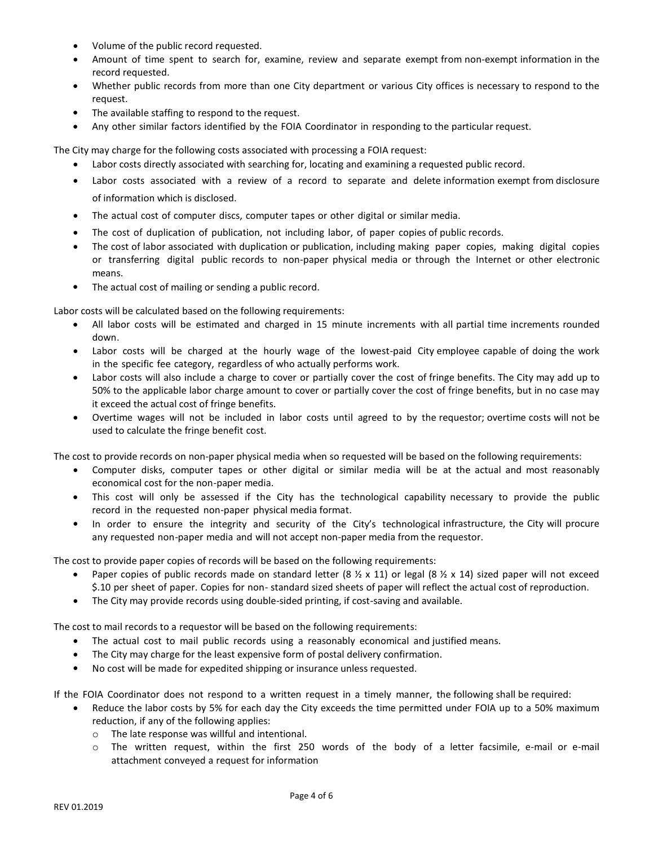- Volume of the public record requested.
- Amount of time spent to search for, examine, review and separate exempt from non-exempt information in the record requested.
- Whether public records from more than one City department or various City offices is necessary to respond to the request.
- The available staffing to respond to the request.
- Any other similar factors identified by the FOIA Coordinator in responding to the particular request.

The City may charge for the following costs associated with processing a FOIA request:

- Labor costs directly associated with searching for, locating and examining a requested public record.
- Labor costs associated with a review of a record to separate and delete information exempt from disclosure of information which is disclosed.
- The actual cost of computer discs, computer tapes or other digital or similar media.
- The cost of duplication of publication, not including labor, of paper copies of public records.
- The cost of labor associated with duplication or publication, including making paper copies, making digital copies or transferring digital public records to non-paper physical media or through the Internet or other electronic means.
- The actual cost of mailing or sending a public record.

Labor costs will be calculated based on the following requirements:

- All labor costs will be estimated and charged in 15 minute increments with all partial time increments rounded down.
- Labor costs will be charged at the hourly wage of the lowest-paid City employee capable of doing the work in the specific fee category, regardless of who actually performs work.
- Labor costs will also include a charge to cover or partially cover the cost of fringe benefits. The City may add up to 50% to the applicable labor charge amount to cover or partially cover the cost of fringe benefits, but in no case may it exceed the actual cost of fringe benefits.
- Overtime wages will not be included in labor costs until agreed to by the requestor; overtime costs will not be used to calculate the fringe benefit cost.

The cost to provide records on non-paper physical media when so requested will be based on the following requirements:

- Computer disks, computer tapes or other digital or similar media will be at the actual and most reasonably economical cost for the non-paper media.
- This cost will only be assessed if the City has the technological capability necessary to provide the public record in the requested non-paper physical media format.
- In order to ensure the integrity and security of the City's technological infrastructure, the City will procure any requested non-paper media and will not accept non-paper media from the requestor.

The cost to provide paper copies of records will be based on the following requirements:

- Paper copies of public records made on standard letter (8  $\frac{1}{2}$  x 11) or legal (8  $\frac{1}{2}$  x 14) sized paper will not exceed \$.10 per sheet of paper. Copies for non- standard sized sheets of paper will reflect the actual cost of reproduction.
- The City may provide records using double-sided printing, if cost-saving and available.

The cost to mail records to a requestor will be based on the following requirements:

- The actual cost to mail public records using a reasonably economical and justified means.
- The City may charge for the least expensive form of postal delivery confirmation.
- No cost will be made for expedited shipping or insurance unless requested.

If the FOIA Coordinator does not respond to a written request in a timely manner, the following shall be required:

- Reduce the labor costs by 5% for each day the City exceeds the time permitted under FOIA up to a 50% maximum reduction, if any of the following applies:
	- o The late response was willful and intentional.
	- o The written request, within the first 250 words of the body of a letter facsimile, e-mail or e-mail attachment conveyed a request for information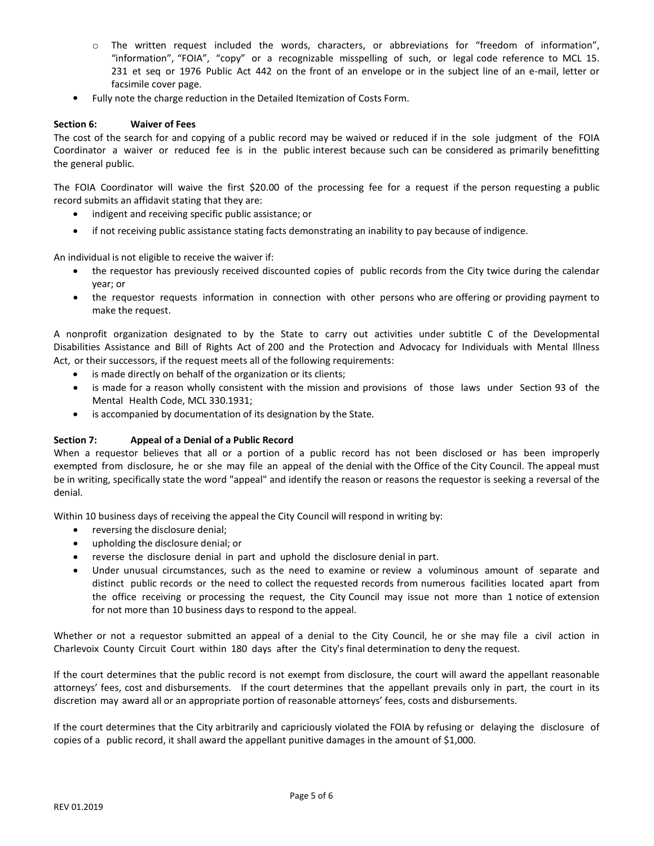- o The written request included the words, characters, or abbreviations for "freedom of information", "information", "FOIA", "copy" or a recognizable misspelling of such, or legal code reference to MCL 15. 231 et seq or 1976 Public Act 442 on the front of an envelope or in the subject line of an e-mail, letter or facsimile cover page.
- Fully note the charge reduction in the Detailed Itemization of Costs Form.

## **Section 6: Waiver of Fees**

The cost of the search for and copying of a public record may be waived or reduced if in the sole judgment of the FOIA Coordinator a waiver or reduced fee is in the public interest because such can be considered as primarily benefitting the general public.

The FOIA Coordinator will waive the first \$20.00 of the processing fee for a request if the person requesting a public record submits an affidavit stating that they are:

- indigent and receiving specific public assistance; or
- if not receiving public assistance stating facts demonstrating an inability to pay because of indigence.

An individual is not eligible to receive the waiver if:

- the requestor has previously received discounted copies of public records from the City twice during the calendar year; or
- the requestor requests information in connection with other persons who are offering or providing payment to make the request.

A nonprofit organization designated to by the State to carry out activities under subtitle C of the Developmental Disabilities Assistance and Bill of Rights Act of 200 and the Protection and Advocacy for Individuals with Mental Illness Act, or their successors, if the request meets all of the following requirements:

- is made directly on behalf of the organization or its clients;
- is made for a reason wholly consistent with the mission and provisions of those laws under Section 93 of the Mental Health Code, MCL 330.1931;
- is accompanied by documentation of its designation by the State.

## **Section 7: Appeal of a Denial of a Public Record**

When a requestor believes that all or a portion of a public record has not been disclosed or has been improperly exempted from disclosure, he or she may file an appeal of the denial with the Office of the City Council. The appeal must be in writing, specifically state the word "appeal" and identify the reason or reasons the requestor is seeking a reversal of the denial.

Within 10 business days of receiving the appeal the City Council will respond in writing by:

- reversing the disclosure denial;
- upholding the disclosure denial; or
- reverse the disclosure denial in part and uphold the disclosure denial in part.
- Under unusual circumstances, such as the need to examine or review a voluminous amount of separate and distinct public records or the need to collect the requested records from numerous facilities located apart from the office receiving or processing the request, the City Council may issue not more than 1 notice of extension for not more than 10 business days to respond to the appeal.

Whether or not a requestor submitted an appeal of a denial to the City Council, he or she may file a civil action in Charlevoix County Circuit Court within 180 days after the City's final determination to deny the request.

If the court determines that the public record is not exempt from disclosure, the court will award the appellant reasonable attorneys' fees, cost and disbursements. If the court determines that the appellant prevails only in part, the court in its discretion may award all or an appropriate portion of reasonable attorneys' fees, costs and disbursements.

If the court determines that the City arbitrarily and capriciously violated the FOIA by refusing or delaying the disclosure of copies of a public record, it shall award the appellant punitive damages in the amount of \$1,000.